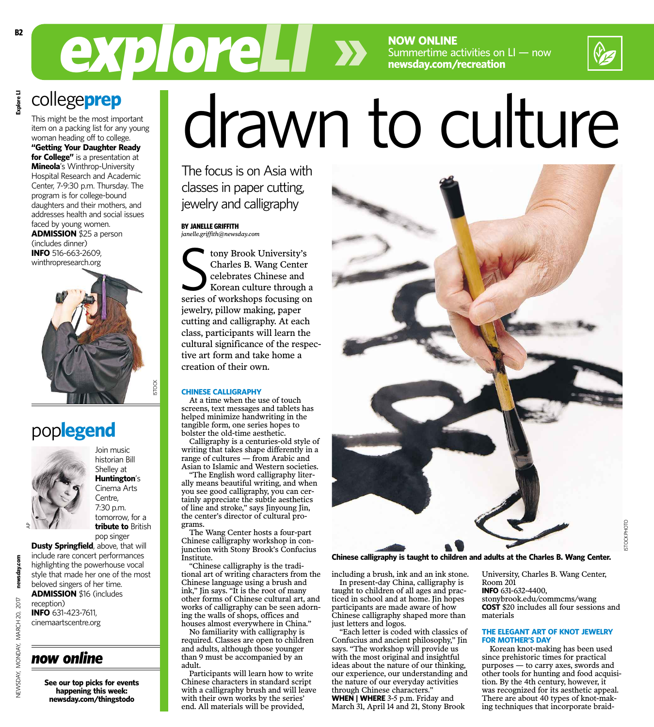**NOW ONLINE** Summertime activities on LI — now **newsday.com/recreation**

# *exploreLI* drawn to culture

The focus is on Asia with classes in paper cutting, jewelry and calligraphy

**BY JANELLE GRIFFITH** *janelle.griffith@newsday.com*

tony Brook University's<br>Charles B. Wang Center<br>celebrates Chinese and<br>Korean culture through a<br>series of workshops focusing on tony Brook University's Charles B. Wang Center celebrates Chinese and Korean culture through a jewelry, pillow making, paper cutting and calligraphy. At each class, participants will learn the cultural significance of the respective art form and take home a creation of their own.

### **CHINESE CALLIGRAPHY**

At a time when the use of touch screens, text messages and tablets has helped minimize handwriting in the tangible form, one series hopes to bolster the old-time aesthetic.

Calligraphy is a centuries-old style of writing that takes shape differently in a range of cultures — from Arabic and Asian to Islamic and Western societies.

"The English word calligraphy literally means beautiful writing, and when you see good calligraphy, you can certainly appreciate the subtle aesthetics of line and stroke," says Jinyoung Jin, the center's director of cultural programs.

The Wang Center hosts a four-part Chinese calligraphy workshop in conjunction with Stony Brook's Confucius Institute.

"Chinese calligraphy is the traditional art of writing characters from the Chinese language using a brush and ink," Jin says. "It is the root of many other forms of Chinese cultural art, and works of calligraphy can be seen adorning the walls of shops, offices and houses almost everywhere in China."

No familiarity with calligraphy is required. Classes are open to children and adults, although those younger than 9 must be accompanied by an adult.

Participants will learn how to write Chinese characters in standard script with a calligraphy brush and will leave with their own works by the series' end. All materials will be provided,



**Chinese calligraphy is taught to children and adults at the Charles B. Wang Center.**

including a brush, ink and an ink stone. In present-day China, calligraphy is

taught to children of all ages and practiced in school and at home. Jin hopes participants are made aware of how Chinese calligraphy shaped more than just letters and logos.

"Each letter is coded with classics of Confucius and ancient philosophy," Jin says. "The workshop will provide us with the most original and insightful ideas about the nature of our thinking, our experience, our understanding and the nature of our everyday activities through Chinese characters." **WHEN | WHERE** 3-5 p.m. Friday and March 31, April 14 and 21, Stony Brook

University, Charles B. Wang Center, Room 201

**INFO** 631-632-4400,

stonybrook.edu/commcms/wang **COST** \$20 includes all four sessions and materials

### **THE ELEGANT ART OF KNOT JEWELRY FOR MOTHER'S DAY**

Korean knot-making has been used since prehistoric times for practical purposes — to carry axes, swords and other tools for hunting and food acquisition. By the 4th century, however, it was recognized for its aesthetic appeal. There are about 40 types of knot-making techniques that incorporate braid-

# college**prep Explore LI**

This might be the most important item on a packing list for any young woman heading off to college. **"Getting Your Daughter Ready for College"** is a presentation at **Mineola**'s Winthrop-University Hospital Research and Academic Center, 7-9:30 p.m. Thursday. The program is for college-bound daughters and their mothers, and addresses health and social issues faced by young women. **ADMISSION** \$25 a person (includes dinner) **INFO** 516-663-2609,



# pop**legend**



**Huntington**'s Cinema Arts Centre, 7:30 p.m. tomorrow, for a **tribute to** British pop singer

Join music historian Bill Shelley at

**Dusty Springfield**, above, that will include rare concert performances highlighting the powerhouse vocal style that made her one of the most beloved singers of her time. **ADMISSION** \$16 (includes

newsday.com NEWSDAY, MONDAY, MARCH 20, 2017 **newsday.co** 2017 reception) **INFO** 631-423-7611, NEWSDAY, MONDAY, MARCH 20, cinemaartscentre.org

## *now online*

**See our top picks for events happening this week: newsday.com/thingstodo**

Explore LI